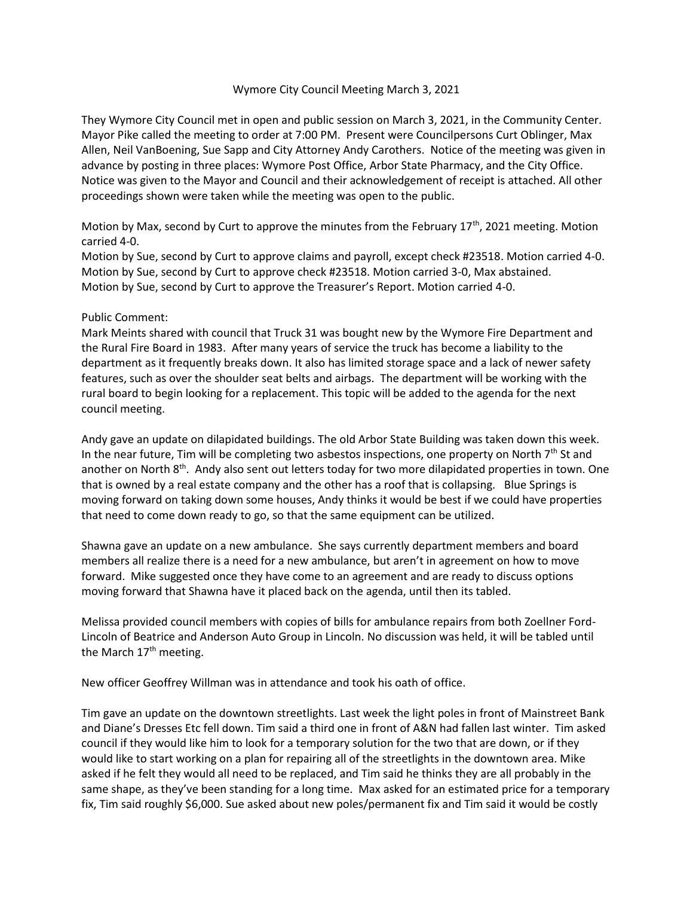## Wymore City Council Meeting March 3, 2021

They Wymore City Council met in open and public session on March 3, 2021, in the Community Center. Mayor Pike called the meeting to order at 7:00 PM. Present were Councilpersons Curt Oblinger, Max Allen, Neil VanBoening, Sue Sapp and City Attorney Andy Carothers. Notice of the meeting was given in advance by posting in three places: Wymore Post Office, Arbor State Pharmacy, and the City Office. Notice was given to the Mayor and Council and their acknowledgement of receipt is attached. All other proceedings shown were taken while the meeting was open to the public.

Motion by Max, second by Curt to approve the minutes from the February  $17<sup>th</sup>$ , 2021 meeting. Motion carried 4-0.

Motion by Sue, second by Curt to approve claims and payroll, except check #23518. Motion carried 4-0. Motion by Sue, second by Curt to approve check #23518. Motion carried 3-0, Max abstained. Motion by Sue, second by Curt to approve the Treasurer's Report. Motion carried 4-0.

## Public Comment:

Mark Meints shared with council that Truck 31 was bought new by the Wymore Fire Department and the Rural Fire Board in 1983. After many years of service the truck has become a liability to the department as it frequently breaks down. It also has limited storage space and a lack of newer safety features, such as over the shoulder seat belts and airbags. The department will be working with the rural board to begin looking for a replacement. This topic will be added to the agenda for the next council meeting.

Andy gave an update on dilapidated buildings. The old Arbor State Building was taken down this week. In the near future, Tim will be completing two asbestos inspections, one property on North  $7<sup>th</sup>$  St and another on North 8<sup>th</sup>. Andy also sent out letters today for two more dilapidated properties in town. One that is owned by a real estate company and the other has a roof that is collapsing. Blue Springs is moving forward on taking down some houses, Andy thinks it would be best if we could have properties that need to come down ready to go, so that the same equipment can be utilized.

Shawna gave an update on a new ambulance. She says currently department members and board members all realize there is a need for a new ambulance, but aren't in agreement on how to move forward. Mike suggested once they have come to an agreement and are ready to discuss options moving forward that Shawna have it placed back on the agenda, until then its tabled.

Melissa provided council members with copies of bills for ambulance repairs from both Zoellner Ford-Lincoln of Beatrice and Anderson Auto Group in Lincoln. No discussion was held, it will be tabled until the March  $17<sup>th</sup>$  meeting.

New officer Geoffrey Willman was in attendance and took his oath of office.

Tim gave an update on the downtown streetlights. Last week the light poles in front of Mainstreet Bank and Diane's Dresses Etc fell down. Tim said a third one in front of A&N had fallen last winter. Tim asked council if they would like him to look for a temporary solution for the two that are down, or if they would like to start working on a plan for repairing all of the streetlights in the downtown area. Mike asked if he felt they would all need to be replaced, and Tim said he thinks they are all probably in the same shape, as they've been standing for a long time. Max asked for an estimated price for a temporary fix, Tim said roughly \$6,000. Sue asked about new poles/permanent fix and Tim said it would be costly